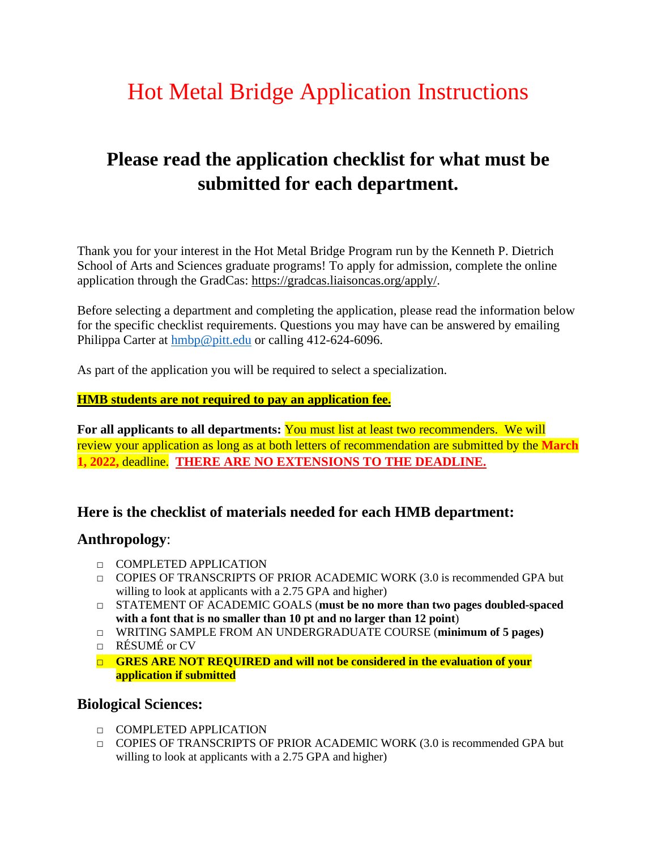# Hot Metal Bridge Application Instructions

# **Please read the application checklist for what must be submitted for each department.**

Thank you for your interest in the Hot Metal Bridge Program run by the Kenneth P. Dietrich School of Arts and Sciences graduate programs! To apply for admission, complete the online application through the GradCas: [https://gradcas.liaisoncas.org/apply/.](https://nam12.safelinks.protection.outlook.com/?url=https%3A%2F%2Fgradcas.liaisoncas.org%2Fapply%2F&data=04%7C01%7Cpkc3%40pitt.edu%7Ca7c3c1d4b0a740ff3f0808d98744d9d3%7C9ef9f489e0a04eeb87cc3a526112fd0d%7C1%7C0%7C637689552040350166%7CUnknown%7CTWFpbGZsb3d8eyJWIjoiMC4wLjAwMDAiLCJQIjoiV2luMzIiLCJBTiI6Ik1haWwiLCJXVCI6Mn0%3D%7C1000&sdata=JBDodk7RVADQLGAcy%2BPVDPi0xX%2FXnlnnNmSp0HuY2iQ%3D&reserved=0)

Before selecting a department and completing the application, please read the information below for the specific checklist requirements. Questions you may have can be answered by emailing Philippa Carter at [hmbp@pitt.edu](mailto:hmbp@pitt.edu) or calling 412-624-6096.

As part of the application you will be required to select a specialization.

#### **HMB students are not required to pay an application fee.**

**For all applicants to all departments:** You must list at least two recommenders. We will review your application as long as at both letters of recommendation are submitted by the **March 1, 2022,** deadline. **THERE ARE NO EXTENSIONS TO THE DEADLINE.** 

#### **Here is the checklist of materials needed for each HMB department:**

#### **Anthropology**:

- □ COMPLETED APPLICATION
- $\Box$  COPIES OF TRANSCRIPTS OF PRIOR ACADEMIC WORK (3.0 is recommended GPA but willing to look at applicants with a 2.75 GPA and higher)
- □ STATEMENT OF ACADEMIC GOALS (**must be no more than two pages doubled-spaced with a font that is no smaller than 10 pt and no larger than 12 point**)
- □ WRITING SAMPLE FROM AN UNDERGRADUATE COURSE (**minimum of 5 pages)**
- $\Box$  RÉSUMÉ or CV
- □ **GRES ARE NOT REQUIRED and will not be considered in the evaluation of your application if submitted**

#### **Biological Sciences:**

- □ COMPLETED APPLICATION
- $\Box$  COPIES OF TRANSCRIPTS OF PRIOR ACADEMIC WORK (3.0 is recommended GPA but willing to look at applicants with a 2.75 GPA and higher)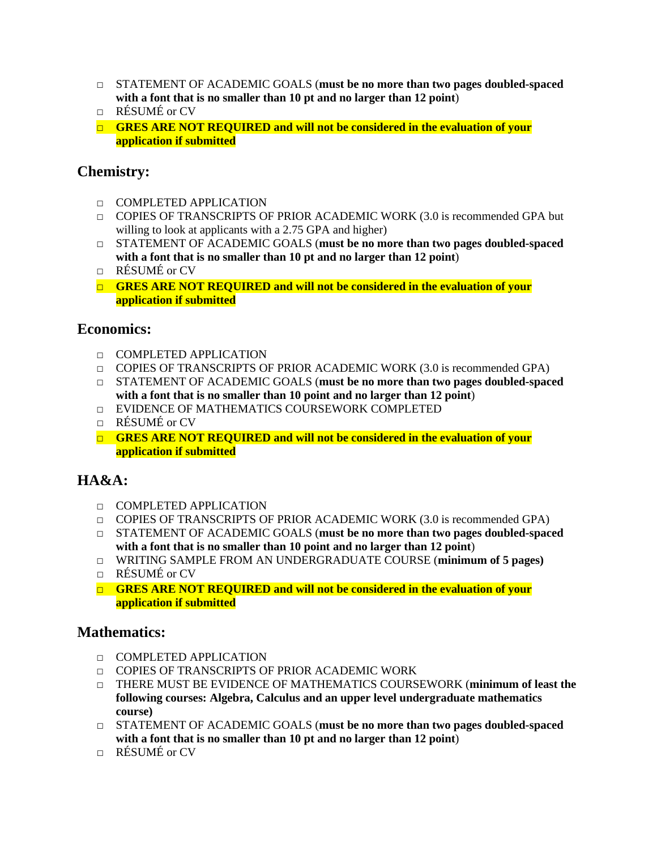- □ STATEMENT OF ACADEMIC GOALS (**must be no more than two pages doubled-spaced with a font that is no smaller than 10 pt and no larger than 12 point**)
- □ RÉSUMÉ or CV
- □ **GRES ARE NOT REQUIRED and will not be considered in the evaluation of your application if submitted**

### **Chemistry:**

- □ COMPLETED APPLICATION
- $\Box$  COPIES OF TRANSCRIPTS OF PRIOR ACADEMIC WORK (3.0 is recommended GPA but willing to look at applicants with a 2.75 GPA and higher)
- □ STATEMENT OF ACADEMIC GOALS (**must be no more than two pages doubled-spaced with a font that is no smaller than 10 pt and no larger than 12 point**)
- $\Box$  RÉSUMÉ or CV
- □ **GRES ARE NOT REQUIRED and will not be considered in the evaluation of your application if submitted**

#### **Economics:**

- □ COMPLETED APPLICATION
- $\Box$  COPIES OF TRANSCRIPTS OF PRIOR ACADEMIC WORK (3.0 is recommended GPA)
- □ STATEMENT OF ACADEMIC GOALS (**must be no more than two pages doubled-spaced with a font that is no smaller than 10 point and no larger than 12 point**)
- □ EVIDENCE OF MATHEMATICS COURSEWORK COMPLETED
- □ RÉSUMÉ or CV
- □ **GRES ARE NOT REQUIRED and will not be considered in the evaluation of your application if submitted**

# **HA&A:**

- □ COMPLETED APPLICATION
- $\Box$  COPIES OF TRANSCRIPTS OF PRIOR ACADEMIC WORK (3.0 is recommended GPA)
- □ STATEMENT OF ACADEMIC GOALS (**must be no more than two pages doubled-spaced with a font that is no smaller than 10 point and no larger than 12 point**)
- □ WRITING SAMPLE FROM AN UNDERGRADUATE COURSE (**minimum of 5 pages)**
- □ RÉSUMÉ or CV
- □ **GRES ARE NOT REQUIRED and will not be considered in the evaluation of your application if submitted**

#### **Mathematics:**

- □ COMPLETED APPLICATION
- □ COPIES OF TRANSCRIPTS OF PRIOR ACADEMIC WORK
- □ THERE MUST BE EVIDENCE OF MATHEMATICS COURSEWORK (**minimum of least the following courses: Algebra, Calculus and an upper level undergraduate mathematics course)**
- □ STATEMENT OF ACADEMIC GOALS (**must be no more than two pages doubled-spaced with a font that is no smaller than 10 pt and no larger than 12 point**)
- □ RÉSUMÉ or CV